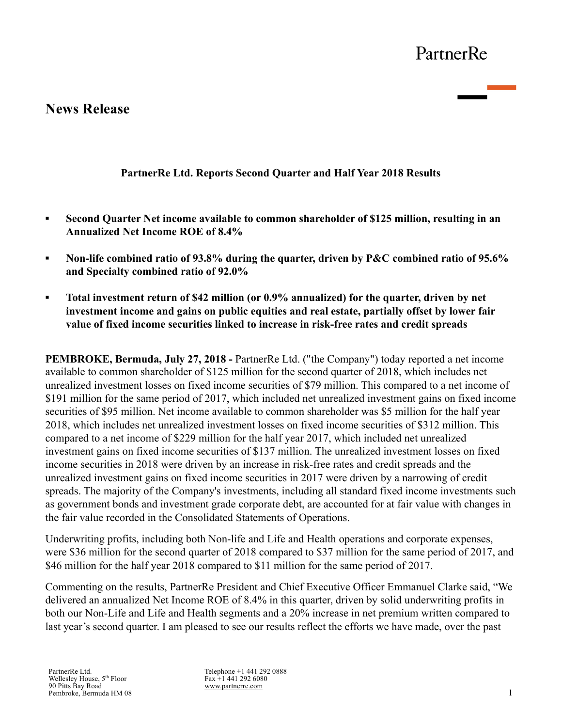# **News Release**

## **PartnerRe Ltd. Reports Second Quarter and Half Year 2018 Results**

- **▪ Second Quarter Net income available to common shareholder of \$125 million, resulting in an Annualized Net Income ROE of 8.4%**
- **EXECUTE:** Non-life combined ratio of 93.8% during the quarter, driven by P&C combined ratio of 95.6% **and Specialty combined ratio of 92.0%**
- **▪ Total investment return of \$42 million (or 0.9% annualized) for the quarter, driven by net investment income and gains on public equities and real estate, partially offset by lower fair value of fixed income securities linked to increase in risk-free rates and credit spreads**

**PEMBROKE, Bermuda, July 27, 2018 -** PartnerRe Ltd. ("the Company") today reported a net income available to common shareholder of \$125 million for the second quarter of 2018, which includes net unrealized investment losses on fixed income securities of \$79 million. This compared to a net income of \$191 million for the same period of 2017, which included net unrealized investment gains on fixed income securities of \$95 million. Net income available to common shareholder was \$5 million for the half year 2018, which includes net unrealized investment losses on fixed income securities of \$312 million. This compared to a net income of \$229 million for the half year 2017, which included net unrealized investment gains on fixed income securities of \$137 million. The unrealized investment losses on fixed income securities in 2018 were driven by an increase in risk-free rates and credit spreads and the unrealized investment gains on fixed income securities in 2017 were driven by a narrowing of credit spreads. The majority of the Company's investments, including all standard fixed income investments such as government bonds and investment grade corporate debt, are accounted for at fair value with changes in the fair value recorded in the Consolidated Statements of Operations.

Underwriting profits, including both Non-life and Life and Health operations and corporate expenses, were \$36 million for the second quarter of 2018 compared to \$37 million for the same period of 2017, and \$46 million for the half year 2018 compared to \$11 million for the same period of 2017.

Commenting on the results, PartnerRe President and Chief Executive Officer Emmanuel Clarke said, "We delivered an annualized Net Income ROE of 8.4% in this quarter, driven by solid underwriting profits in both our Non-Life and Life and Health segments and a 20% increase in net premium written compared to last year's second quarter. I am pleased to see our results reflect the efforts we have made, over the past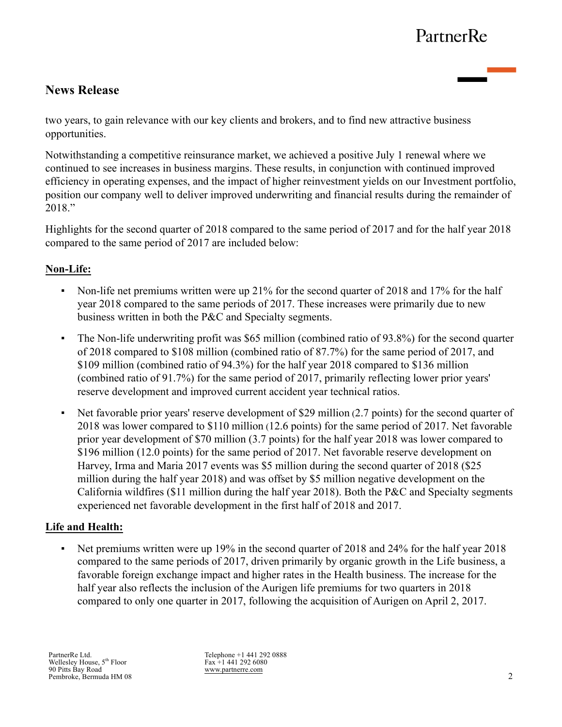# **News Release**

two years, to gain relevance with our key clients and brokers, and to find new attractive business opportunities.

Notwithstanding a competitive reinsurance market, we achieved a positive July 1 renewal where we continued to see increases in business margins. These results, in conjunction with continued improved efficiency in operating expenses, and the impact of higher reinvestment yields on our Investment portfolio, position our company well to deliver improved underwriting and financial results during the remainder of 2018."

Highlights for the second quarter of 2018 compared to the same period of 2017 and for the half year 2018 compared to the same period of 2017 are included below:

## **Non-Life:**

- Non-life net premiums written were up 21% for the second quarter of 2018 and 17% for the half year 2018 compared to the same periods of 2017. These increases were primarily due to new business written in both the P&C and Specialty segments.
- The Non-life underwriting profit was \$65 million (combined ratio of 93.8%) for the second quarter of 2018 compared to \$108 million (combined ratio of 87.7%) for the same period of 2017, and \$109 million (combined ratio of 94.3%) for the half year 2018 compared to \$136 million (combined ratio of 91.7%) for the same period of 2017, primarily reflecting lower prior years' reserve development and improved current accident year technical ratios.
- Net favorable prior years' reserve development of \$29 million (2.7 points) for the second quarter of 2018 was lower compared to \$110 million (12.6 points) for the same period of 2017. Net favorable prior year development of \$70 million (3.7 points) for the half year 2018 was lower compared to \$196 million (12.0 points) for the same period of 2017. Net favorable reserve development on Harvey, Irma and Maria 2017 events was \$5 million during the second quarter of 2018 (\$25 million during the half year 2018) and was offset by \$5 million negative development on the California wildfires (\$11 million during the half year 2018). Both the P&C and Specialty segments experienced net favorable development in the first half of 2018 and 2017.

## **Life and Health:**

• Net premiums written were up 19% in the second quarter of 2018 and 24% for the half year 2018 compared to the same periods of 2017, driven primarily by organic growth in the Life business, a favorable foreign exchange impact and higher rates in the Health business. The increase for the half year also reflects the inclusion of the Aurigen life premiums for two quarters in 2018 compared to only one quarter in 2017, following the acquisition of Aurigen on April 2, 2017.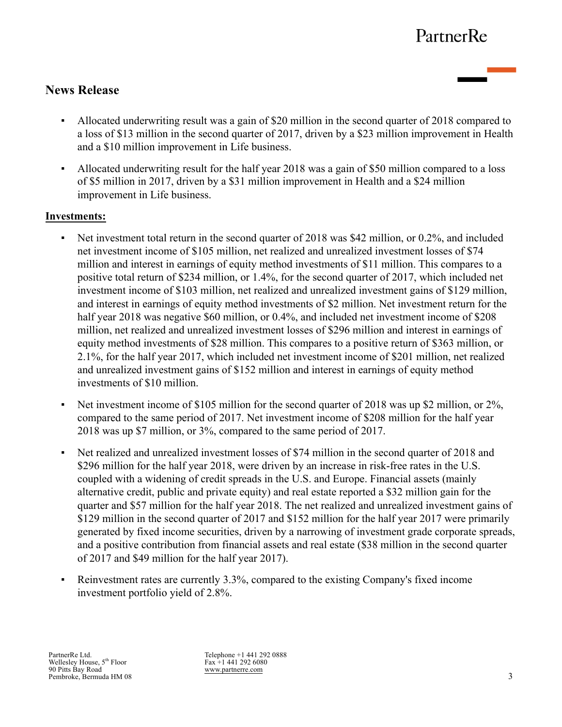# **News Release**

- Allocated underwriting result was a gain of \$20 million in the second quarter of 2018 compared to a loss of \$13 million in the second quarter of 2017, driven by a \$23 million improvement in Health and a \$10 million improvement in Life business.
- Allocated underwriting result for the half year 2018 was a gain of \$50 million compared to a loss of \$5 million in 2017, driven by a \$31 million improvement in Health and a \$24 million improvement in Life business.

## **Investments:**

- Net investment total return in the second quarter of 2018 was \$42 million, or 0.2%, and included net investment income of \$105 million, net realized and unrealized investment losses of \$74 million and interest in earnings of equity method investments of \$11 million. This compares to a positive total return of \$234 million, or 1.4%, for the second quarter of 2017, which included net investment income of \$103 million, net realized and unrealized investment gains of \$129 million, and interest in earnings of equity method investments of \$2 million. Net investment return for the half year 2018 was negative \$60 million, or 0.4%, and included net investment income of \$208 million, net realized and unrealized investment losses of \$296 million and interest in earnings of equity method investments of \$28 million. This compares to a positive return of \$363 million, or 2.1%, for the half year 2017, which included net investment income of \$201 million, net realized and unrealized investment gains of \$152 million and interest in earnings of equity method investments of \$10 million.
- Net investment income of \$105 million for the second quarter of 2018 was up \$2 million, or 2%, compared to the same period of 2017. Net investment income of \$208 million for the half year 2018 was up \$7 million, or 3%, compared to the same period of 2017.
- Net realized and unrealized investment losses of \$74 million in the second quarter of 2018 and \$296 million for the half year 2018, were driven by an increase in risk-free rates in the U.S. coupled with a widening of credit spreads in the U.S. and Europe. Financial assets (mainly alternative credit, public and private equity) and real estate reported a \$32 million gain for the quarter and \$57 million for the half year 2018. The net realized and unrealized investment gains of \$129 million in the second quarter of 2017 and \$152 million for the half year 2017 were primarily generated by fixed income securities, driven by a narrowing of investment grade corporate spreads, and a positive contribution from financial assets and real estate (\$38 million in the second quarter of 2017 and \$49 million for the half year 2017).
- Reinvestment rates are currently 3.3%, compared to the existing Company's fixed income investment portfolio yield of 2.8%.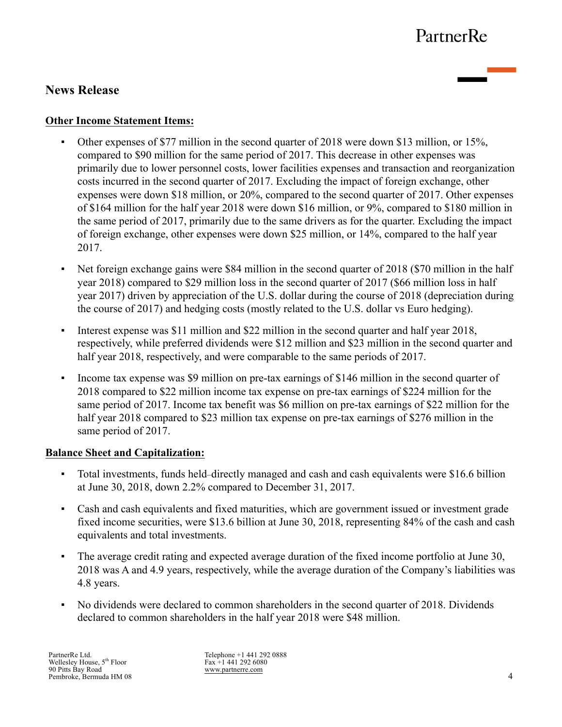# **News Release**

### **Other Income Statement Items:**

- Other expenses of \$77 million in the second quarter of 2018 were down \$13 million, or 15%, compared to \$90 million for the same period of 2017. This decrease in other expenses was primarily due to lower personnel costs, lower facilities expenses and transaction and reorganization costs incurred in the second quarter of 2017. Excluding the impact of foreign exchange, other expenses were down \$18 million, or 20%, compared to the second quarter of 2017. Other expenses of \$164 million for the half year 2018 were down \$16 million, or 9%, compared to \$180 million in the same period of 2017, primarily due to the same drivers as for the quarter. Excluding the impact of foreign exchange, other expenses were down \$25 million, or 14%, compared to the half year 2017.
- Net foreign exchange gains were \$84 million in the second quarter of 2018 (\$70 million in the half year 2018) compared to \$29 million loss in the second quarter of 2017 (\$66 million loss in half year 2017) driven by appreciation of the U.S. dollar during the course of 2018 (depreciation during the course of 2017) and hedging costs (mostly related to the U.S. dollar vs Euro hedging).
- Interest expense was \$11 million and \$22 million in the second quarter and half year 2018, respectively, while preferred dividends were \$12 million and \$23 million in the second quarter and half year 2018, respectively, and were comparable to the same periods of 2017.
- Income tax expense was \$9 million on pre-tax earnings of \$146 million in the second quarter of 2018 compared to \$22 million income tax expense on pre-tax earnings of \$224 million for the same period of 2017. Income tax benefit was \$6 million on pre-tax earnings of \$22 million for the half year 2018 compared to \$23 million tax expense on pre-tax earnings of \$276 million in the same period of 2017.

### **Balance Sheet and Capitalization:**

- Total investments, funds held–directly managed and cash and cash equivalents were \$16.6 billion at June 30, 2018, down 2.2% compared to December 31, 2017.
- Cash and cash equivalents and fixed maturities, which are government issued or investment grade fixed income securities, were \$13.6 billion at June 30, 2018, representing 84% of the cash and cash equivalents and total investments.
- The average credit rating and expected average duration of the fixed income portfolio at June 30, 2018 was A and 4.9 years, respectively, while the average duration of the Company's liabilities was 4.8 years.
- No dividends were declared to common shareholders in the second quarter of 2018. Dividends declared to common shareholders in the half year 2018 were \$48 million.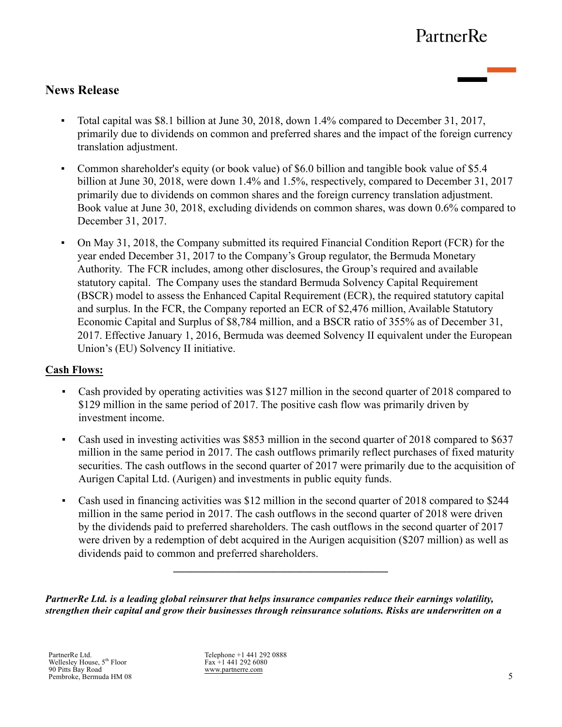# **News Release**

- Total capital was \$8.1 billion at June 30, 2018, down 1.4% compared to December 31, 2017, primarily due to dividends on common and preferred shares and the impact of the foreign currency translation adjustment.
- Common shareholder's equity (or book value) of \$6.0 billion and tangible book value of \$5.4 billion at June 30, 2018, were down 1.4% and 1.5%, respectively, compared to December 31, 2017 primarily due to dividends on common shares and the foreign currency translation adjustment. Book value at June 30, 2018, excluding dividends on common shares, was down 0.6% compared to December 31, 2017.
- On May 31, 2018, the Company submitted its required Financial Condition Report (FCR) for the year ended December 31, 2017 to the Company's Group regulator, the Bermuda Monetary Authority. The FCR includes, among other disclosures, the Group's required and available statutory capital. The Company uses the standard Bermuda Solvency Capital Requirement (BSCR) model to assess the Enhanced Capital Requirement (ECR), the required statutory capital and surplus. In the FCR, the Company reported an ECR of \$2,476 million, Available Statutory Economic Capital and Surplus of \$8,784 million, and a BSCR ratio of 355% as of December 31, 2017. Effective January 1, 2016, Bermuda was deemed Solvency II equivalent under the European Union's (EU) Solvency II initiative.

### **Cash Flows:**

- Cash provided by operating activities was \$127 million in the second quarter of 2018 compared to \$129 million in the same period of 2017. The positive cash flow was primarily driven by investment income.
- Cash used in investing activities was \$853 million in the second quarter of 2018 compared to \$637 million in the same period in 2017. The cash outflows primarily reflect purchases of fixed maturity securities. The cash outflows in the second quarter of 2017 were primarily due to the acquisition of Aurigen Capital Ltd. (Aurigen) and investments in public equity funds.
- Cash used in financing activities was \$12 million in the second quarter of 2018 compared to \$244 million in the same period in 2017. The cash outflows in the second quarter of 2018 were driven by the dividends paid to preferred shareholders. The cash outflows in the second quarter of 2017 were driven by a redemption of debt acquired in the Aurigen acquisition (\$207 million) as well as dividends paid to common and preferred shareholders.

**\_\_\_\_\_\_\_\_\_\_\_\_\_\_\_\_\_\_\_\_\_\_\_\_\_\_\_\_\_\_\_\_\_\_\_\_\_\_\_**

*PartnerRe Ltd. is a leading global reinsurer that helps insurance companies reduce their earnings volatility, strengthen their capital and grow their businesses through reinsurance solutions. Risks are underwritten on a*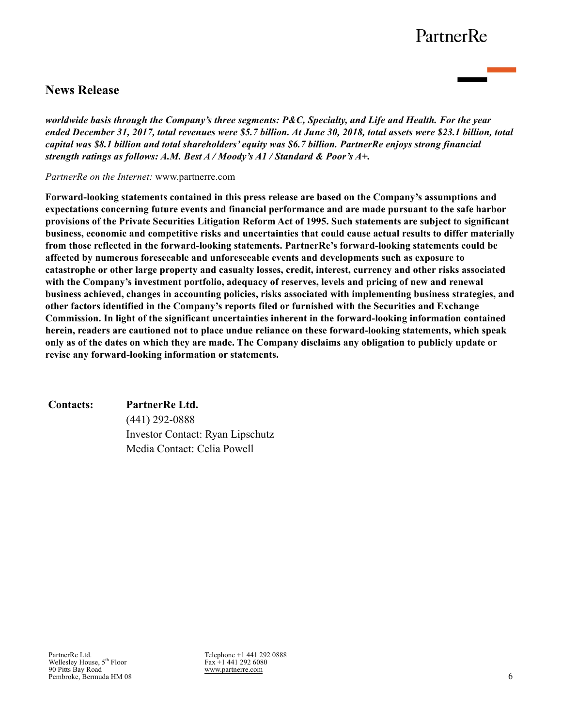# **News Release**

*worldwide basis through the Company's three segments: P&C, Specialty, and Life and Health. For the year ended December 31, 2017, total revenues were \$5.7 billion. At June 30, 2018, total assets were \$23.1 billion, total capital was \$8.1 billion and total shareholders' equity was \$6.7 billion. PartnerRe enjoys strong financial strength ratings as follows: A.M. Best A / Moody's A1 / Standard & Poor's A+.*

#### *PartnerRe on the Internet:* www.partnerre.com

**Forward-looking statements contained in this press release are based on the Company's assumptions and expectations concerning future events and financial performance and are made pursuant to the safe harbor provisions of the Private Securities Litigation Reform Act of 1995. Such statements are subject to significant business, economic and competitive risks and uncertainties that could cause actual results to differ materially from those reflected in the forward-looking statements. PartnerRe's forward-looking statements could be affected by numerous foreseeable and unforeseeable events and developments such as exposure to catastrophe or other large property and casualty losses, credit, interest, currency and other risks associated with the Company's investment portfolio, adequacy of reserves, levels and pricing of new and renewal business achieved, changes in accounting policies, risks associated with implementing business strategies, and other factors identified in the Company's reports filed or furnished with the Securities and Exchange Commission. In light of the significant uncertainties inherent in the forward-looking information contained herein, readers are cautioned not to place undue reliance on these forward-looking statements, which speak only as of the dates on which they are made. The Company disclaims any obligation to publicly update or revise any forward-looking information or statements.**

#### **Contacts: PartnerRe Ltd.**

(441) 292-0888 Investor Contact: Ryan Lipschutz Media Contact: Celia Powell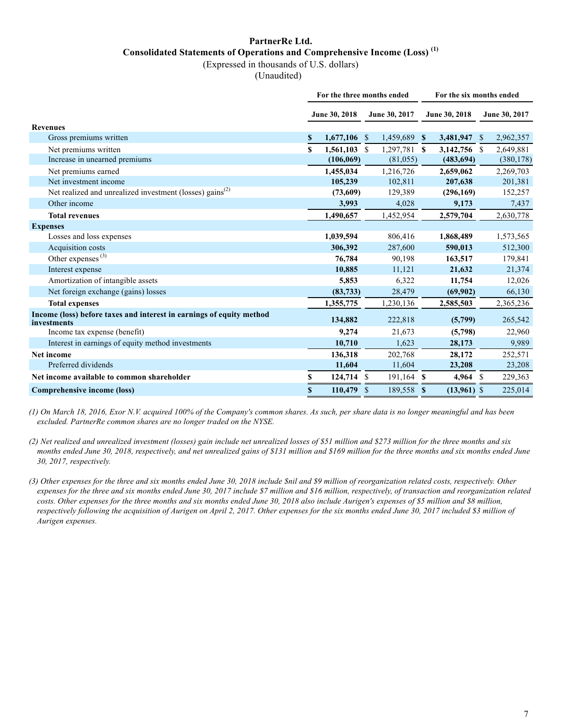### **PartnerRe Ltd. Consolidated Statements of Operations and Comprehensive Income (Loss) (1)**

(Expressed in thousands of U.S. dollars)

(Unaudited)

|                                                                                     |   | For the three months ended |              |               | For the six months ended |               |               |               |  |  |  |
|-------------------------------------------------------------------------------------|---|----------------------------|--------------|---------------|--------------------------|---------------|---------------|---------------|--|--|--|
|                                                                                     |   | June 30, 2018              |              | June 30, 2017 |                          | June 30, 2018 |               | June 30, 2017 |  |  |  |
| <b>Revenues</b>                                                                     |   |                            |              |               |                          |               |               |               |  |  |  |
| Gross premiums written                                                              | S | $1,677,106$ \$             |              | 1,459,689 \$  |                          | 3,481,947 \$  |               | 2,962,357     |  |  |  |
| Net premiums written                                                                | S | $1,561,103$ \$             |              | 1,297,781 \$  |                          | 3,142,756 \$  |               | 2,649,881     |  |  |  |
| Increase in unearned premiums                                                       |   | (106, 069)                 |              | (81,055)      |                          | (483, 694)    |               | (380, 178)    |  |  |  |
| Net premiums earned                                                                 |   | 1,455,034                  |              | 1,216,726     |                          | 2,659,062     |               | 2,269,703     |  |  |  |
| Net investment income                                                               |   | 105,239                    |              | 102,811       |                          | 207,638       |               | 201,381       |  |  |  |
| Net realized and unrealized investment (losses) gains <sup>(2)</sup>                |   | (73,609)                   |              | 129,389       |                          | (296,169)     |               | 152,257       |  |  |  |
| Other income                                                                        |   | 3,993                      |              | 4,028         |                          | 9,173         |               | 7,437         |  |  |  |
| <b>Total revenues</b>                                                               |   | 1,490,657                  |              | 1,452,954     |                          | 2,579,704     |               | 2,630,778     |  |  |  |
| <b>Expenses</b>                                                                     |   |                            |              |               |                          |               |               |               |  |  |  |
| Losses and loss expenses                                                            |   | 1,039,594                  |              | 806,416       |                          | 1,868,489     |               | 1,573,565     |  |  |  |
| Acquisition costs                                                                   |   | 306,392                    |              | 287,600       |                          | 590,013       |               | 512,300       |  |  |  |
| Other expenses $(3)$                                                                |   | 76,784                     |              | 90,198        |                          | 163,517       |               | 179,841       |  |  |  |
| Interest expense                                                                    |   | 10,885                     |              | 11,121        |                          | 21,632        |               | 21,374        |  |  |  |
| Amortization of intangible assets                                                   |   | 5,853                      |              | 6,322         |                          | 11,754        |               | 12,026        |  |  |  |
| Net foreign exchange (gains) losses                                                 |   | (83, 733)                  |              | 28,479        |                          | (69,902)      |               | 66,130        |  |  |  |
| <b>Total expenses</b>                                                               |   | 1,355,775                  |              | 1,230,136     |                          | 2,585,503     |               | 2,365,236     |  |  |  |
| Income (loss) before taxes and interest in earnings of equity method<br>investments |   | 134,882                    |              | 222,818       |                          | (5,799)       |               | 265,542       |  |  |  |
| Income tax expense (benefit)                                                        |   | 9,274                      |              | 21,673        |                          | (5,798)       |               | 22,960        |  |  |  |
| Interest in earnings of equity method investments                                   |   | 10,710                     |              | 1,623         |                          | 28,173        |               | 9,989         |  |  |  |
| <b>Net income</b>                                                                   |   | 136,318                    |              | 202,768       |                          | 28,172        |               | 252,571       |  |  |  |
| Preferred dividends                                                                 |   | 11,604                     |              | 11,604        |                          | 23,208        |               | 23,208        |  |  |  |
| Net income available to common shareholder                                          | S | 124,714 \$                 |              | $191,164$ \$  |                          | 4,964         | <sup>\$</sup> | 229,363       |  |  |  |
| <b>Comprehensive income (loss)</b>                                                  | S | 110,479                    | <sup>S</sup> | 189,558 \$    |                          | $(13,961)$ \$ |               | 225,014       |  |  |  |

*(1) On March 18, 2016, Exor N.V. acquired 100% of the Company's common shares. As such, per share data is no longer meaningful and has been excluded. PartnerRe common shares are no longer traded on the NYSE.*

*(2) Net realized and unrealized investment (losses) gain include net unrealized losses of \$51 million and \$273 million for the three months and six months ended June 30, 2018, respectively, and net unrealized gains of \$131 million and \$169 million for the three months and six months ended June 30, 2017, respectively.*

*(3) Other expenses for the three and six months ended June 30, 2018 include \$nil and \$9 million of reorganization related costs, respectively. Other expenses for the three and six months ended June 30, 2017 include \$7 million and \$16 million, respectively, of transaction and reorganization related costs. Other expenses for the three months and six months ended June 30, 2018 also include Aurigen's expenses of \$5 million and \$8 million, respectively following the acquisition of Aurigen on April 2, 2017. Other expenses for the six months ended June 30, 2017 included \$3 million of Aurigen expenses.*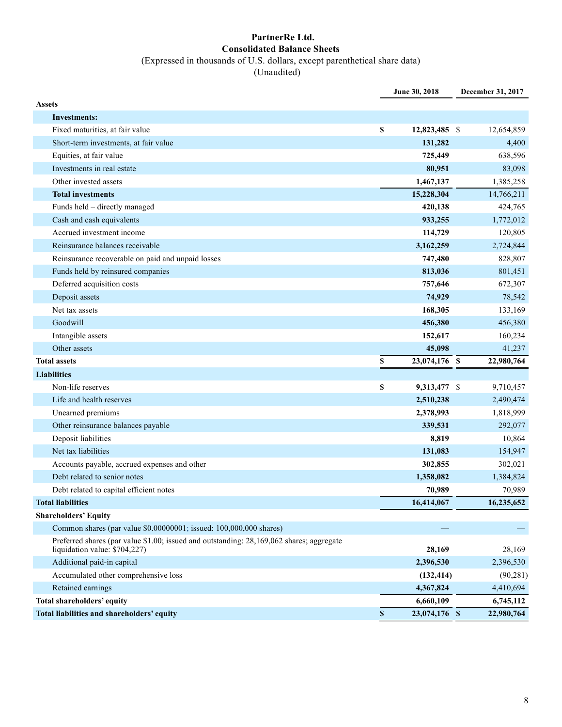#### **PartnerRe Ltd. Consolidated Balance Sheets**  (Expressed in thousands of U.S. dollars, except parenthetical share data) (Unaudited)

|                                                                                                                           |              | June 30, 2018 | December 31, 2017 |
|---------------------------------------------------------------------------------------------------------------------------|--------------|---------------|-------------------|
| <b>Assets</b>                                                                                                             |              |               |                   |
| Investments:                                                                                                              |              |               |                   |
| Fixed maturities, at fair value                                                                                           | S            | 12,823,485 \$ | 12,654,859        |
| Short-term investments, at fair value                                                                                     |              | 131,282       | 4,400             |
| Equities, at fair value                                                                                                   |              | 725,449       | 638,596           |
| Investments in real estate                                                                                                |              | 80,951        | 83,098            |
| Other invested assets                                                                                                     |              | 1,467,137     | 1,385,258         |
| <b>Total investments</b>                                                                                                  |              | 15,228,304    | 14,766,211        |
| Funds held - directly managed                                                                                             |              | 420,138       | 424,765           |
| Cash and cash equivalents                                                                                                 |              | 933,255       | 1,772,012         |
| Accrued investment income                                                                                                 |              | 114,729       | 120,805           |
| Reinsurance balances receivable                                                                                           |              | 3,162,259     | 2,724,844         |
| Reinsurance recoverable on paid and unpaid losses                                                                         |              | 747,480       | 828,807           |
| Funds held by reinsured companies                                                                                         |              | 813,036       | 801,451           |
| Deferred acquisition costs                                                                                                |              | 757,646       | 672,307           |
| Deposit assets                                                                                                            |              | 74,929        | 78,542            |
| Net tax assets                                                                                                            |              | 168,305       | 133,169           |
| Goodwill                                                                                                                  |              | 456,380       | 456,380           |
| Intangible assets                                                                                                         |              | 152,617       | 160,234           |
| Other assets                                                                                                              |              | 45,098        | 41,237            |
| <b>Total assets</b>                                                                                                       | S            | 23,074,176 \$ | 22,980,764        |
| <b>Liabilities</b>                                                                                                        |              |               |                   |
| Non-life reserves                                                                                                         | \$           | 9,313,477 \$  | 9,710,457         |
| Life and health reserves                                                                                                  |              | 2,510,238     | 2,490,474         |
| Unearned premiums                                                                                                         |              | 2,378,993     | 1,818,999         |
| Other reinsurance balances payable                                                                                        |              | 339,531       | 292,077           |
| Deposit liabilities                                                                                                       |              | 8,819         | 10,864            |
| Net tax liabilities                                                                                                       |              | 131,083       | 154,947           |
| Accounts payable, accrued expenses and other                                                                              |              | 302,855       | 302,021           |
| Debt related to senior notes                                                                                              |              | 1,358,082     | 1,384,824         |
| Debt related to capital efficient notes                                                                                   |              | 70,989        | 70,989            |
| <b>Total liabilities</b>                                                                                                  |              | 16,414,067    | 16,235,652        |
| <b>Shareholders' Equity</b>                                                                                               |              |               |                   |
| Common shares (par value \$0.00000001; issued: 100,000,000 shares)                                                        |              |               |                   |
| Preferred shares (par value \$1.00; issued and outstanding: 28,169,062 shares; aggregate<br>liquidation value: \$704,227) |              | 28,169        | 28,169            |
| Additional paid-in capital                                                                                                |              | 2,396,530     | 2,396,530         |
| Accumulated other comprehensive loss                                                                                      |              | (132, 414)    | (90, 281)         |
| Retained earnings                                                                                                         |              | 4,367,824     | 4,410,694         |
| Total shareholders' equity                                                                                                |              | 6,660,109     | 6,745,112         |
| Total liabilities and shareholders' equity                                                                                | $\mathbf{s}$ | 23,074,176 \$ | 22,980,764        |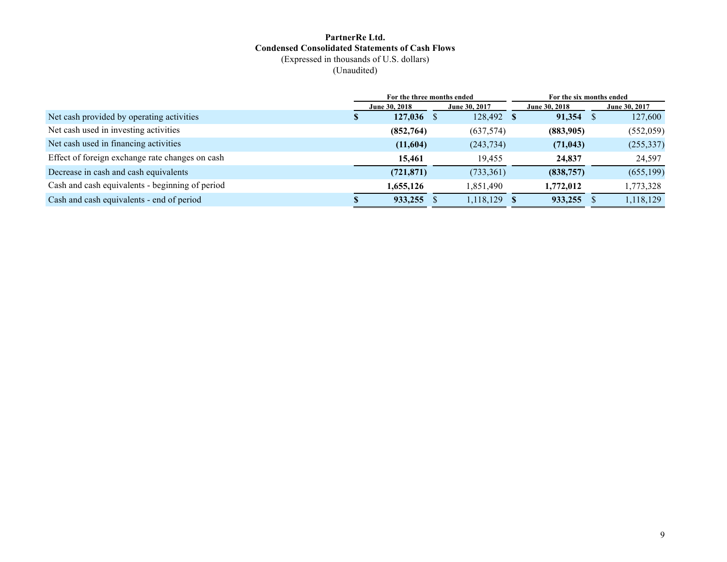#### **PartnerRe Ltd. Condensed Consolidated Statements of Cash Flows** (Expressed in thousands of U.S. dollars) (Unaudited)

|                                                 | For the three months ended |               |            |  | For the six months ended |  |               |  |
|-------------------------------------------------|----------------------------|---------------|------------|--|--------------------------|--|---------------|--|
|                                                 | June 30, 2018              | June 30, 2017 |            |  | June 30, 2018            |  | June 30, 2017 |  |
| Net cash provided by operating activities       | 127,036                    |               | 128,492 \$ |  | 91,354                   |  | 127,600       |  |
| Net cash used in investing activities           | (852,764)                  |               | (637, 574) |  | (883,905)                |  | (552, 059)    |  |
| Net cash used in financing activities           | (11,604)                   |               | (243, 734) |  | (71, 043)                |  | (255, 337)    |  |
| Effect of foreign exchange rate changes on cash | 15,461                     |               | 19.455     |  | 24,837                   |  | 24,597        |  |
| Decrease in cash and cash equivalents           | (721, 871)                 |               | (733, 361) |  | (838, 757)               |  | (655, 199)    |  |
| Cash and cash equivalents - beginning of period | 1,655,126                  |               | 1,851,490  |  | 1,772,012                |  | 1,773,328     |  |
| Cash and cash equivalents - end of period       | 933,255                    |               | 1,118,129  |  | 933,255                  |  | 1,118,129     |  |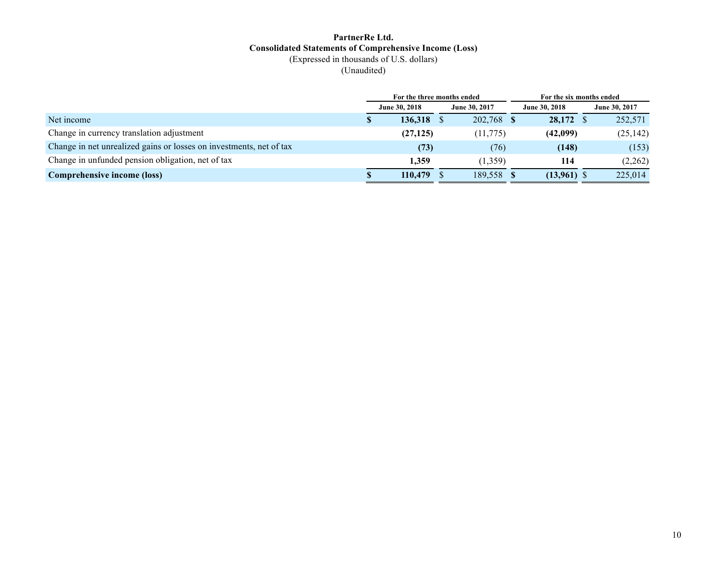#### **PartnerRe Ltd. Consolidated Statements of Comprehensive Income (Loss)** (Expressed in thousands of U.S. dollars) (Unaudited)

|                                                                     |                      | For the three months ended |  |               | For the six months ended |               |
|---------------------------------------------------------------------|----------------------|----------------------------|--|---------------|--------------------------|---------------|
|                                                                     | <b>June 30, 2018</b> |                            |  | June 30, 2017 | <b>June 30, 2018</b>     | June 30, 2017 |
| Net income                                                          |                      | $136,318$ \$               |  | 202,768 \$    | $28,172$ \$              | 252,571       |
| Change in currency translation adjustment                           |                      | (27, 125)                  |  | (11, 775)     | (42,099)                 | (25, 142)     |
| Change in net unrealized gains or losses on investments, net of tax |                      | (73)                       |  | (76)          | (148)                    | (153)         |
| Change in unfunded pension obligation, net of tax                   |                      | 1.359                      |  | (1.359)       | 114                      | (2,262)       |
| <b>Comprehensive income (loss)</b>                                  |                      | $110,479$ \$               |  | 189,558 \$    | $(13,961)$ \$            | 225,014       |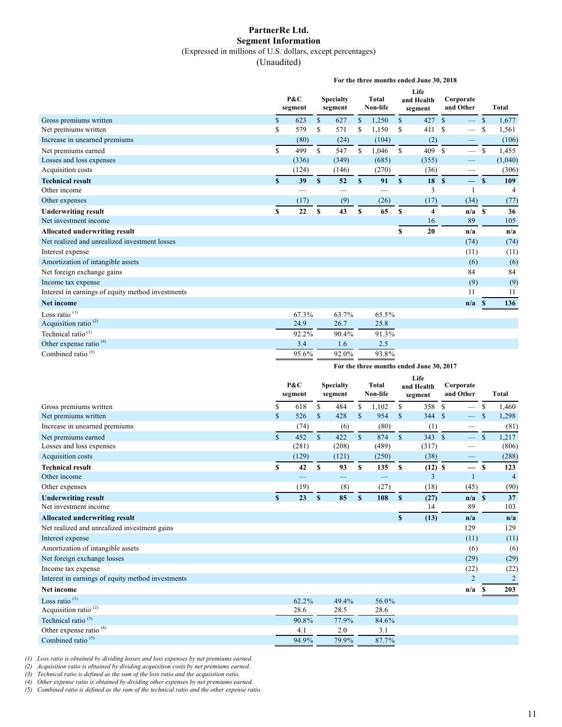### **PartnerRe Ltd. Segment Information**

(Expressed in millions of U.S. dollars, except percentages)

(Unaudited)

|                                                   | For the three months ended June 30, 2018 |       |                             |                          |                          |       |                               |        |                        |                          |               |         |
|---------------------------------------------------|------------------------------------------|-------|-----------------------------|--------------------------|--------------------------|-------|-------------------------------|--------|------------------------|--------------------------|---------------|---------|
|                                                   | P&C<br>segment                           |       | <b>Specialty</b><br>segment |                          | <b>Total</b><br>Non-life |       | Life<br>and Health<br>segment |        | Corporate<br>and Other |                          | <b>Total</b>  |         |
| Gross premiums written                            | \$                                       | 623   | $\mathbf{s}$                | 627                      | \$                       | 1,250 | $\mathbf{s}$                  | 427    | $\mathbf{s}$           | $\overline{\phantom{0}}$ | <sup>\$</sup> | 1,677   |
| Net premiums written                              | \$                                       | 579   | S                           | 571                      | \$                       | 1,150 | <sup>\$</sup>                 | 411    | <sup>S</sup>           | $\overline{\phantom{0}}$ | \$            | 1,561   |
| Increase in unearned premiums                     |                                          | (80)  |                             | (24)                     |                          | (104) |                               | (2)    |                        |                          |               | (106)   |
| Net premiums earned                               | \$                                       | 499   | $\mathbb{S}$                | 547                      | $\mathbb{S}$             | 1,046 | $\mathbf{s}$                  | 409 \$ |                        |                          | <b>S</b>      | 1,455   |
| Losses and loss expenses                          |                                          | (336) |                             | (349)                    |                          | (685) |                               | (355)  |                        | —                        |               | (1,040) |
| Acquisition costs                                 |                                          | (124) |                             | (146)                    |                          | (270) |                               | (36)   |                        | $\overline{\phantom{0}}$ |               | (306)   |
| <b>Technical result</b>                           | S                                        | 39    | S                           | 52                       | S                        | 91    | $\mathbf{s}$                  | 18S    |                        | $-$ s                    |               | 109     |
| Other income                                      |                                          |       |                             | $\overline{\phantom{0}}$ |                          |       |                               | 3      |                        | $\mathbf{1}$             |               | 4       |
| Other expenses                                    |                                          | (17)  |                             | (9)                      |                          | (26)  |                               | (17)   |                        | (34)                     |               | (77)    |
| <b>Underwriting result</b>                        | \$                                       | 22    | S                           | 43                       | S                        | 65    | S                             | 4      |                        | $n/a$ \$                 |               | 36      |
| Net investment income                             |                                          |       |                             |                          |                          |       |                               | 16     |                        | 89                       |               | 105     |
| <b>Allocated underwriting result</b>              |                                          |       |                             |                          |                          |       | S                             | 20     |                        | n/a                      |               | n/a     |
| Net realized and unrealized investment losses     |                                          |       |                             |                          |                          |       |                               |        |                        | (74)                     |               | (74)    |
| Interest expense                                  |                                          |       |                             |                          |                          |       |                               |        |                        | (11)                     |               | (11)    |
| Amortization of intangible assets                 |                                          |       |                             |                          |                          |       |                               |        |                        | (6)                      |               | (6)     |
| Net foreign exchange gains                        |                                          |       |                             |                          |                          |       |                               |        |                        | 84                       |               | 84      |
| Income tax expense                                |                                          |       |                             |                          |                          |       |                               |        |                        | (9)                      |               | (9)     |
| Interest in earnings of equity method investments |                                          |       |                             |                          |                          |       |                               |        |                        | 11                       |               | 11      |
| <b>Net income</b>                                 |                                          |       |                             |                          |                          |       |                               |        |                        | n/a                      | -8            | 136     |
| Loss ratio <sup>(1)</sup>                         |                                          | 67.3% |                             | 63.7%                    |                          | 65.5% |                               |        |                        |                          |               |         |
| Acquisition ratio <sup>(2)</sup>                  |                                          | 24.9  |                             | 26.7                     |                          | 25.8  |                               |        |                        |                          |               |         |
| Technical ratio $^{(3)}$                          |                                          | 92.2% |                             | 90.4%                    |                          | 91.3% |                               |        |                        |                          |               |         |
| Other expense ratio <sup>(4)</sup>                |                                          | 3.4   |                             | 1.6                      |                          | 2.5   |                               |        |                        |                          |               |         |
| Combined ratio $(5)$                              |                                          | 95.6% |                             | 92.0%                    |                          | 93.8% |                               |        |                        |                          |               |         |
|                                                   |                                          |       |                             |                          |                          |       |                               |        |                        |                          |               |         |

**For the three months ended June 30, 2017**

|                                                   |                    | P&C<br>segment |              | <b>Specialty</b><br>segment |              | Total<br>Non-life |              | Life<br>and Health<br>segment | Corporate<br>and Other |              | <b>Total</b>   |
|---------------------------------------------------|--------------------|----------------|--------------|-----------------------------|--------------|-------------------|--------------|-------------------------------|------------------------|--------------|----------------|
| Gross premiums written                            | \$                 | 618            | \$           | 484                         | \$           | 1,102             | \$           | 358                           | \$<br>—                | \$           | 1,460          |
| Net premiums written                              | \$                 | 526            | \$           | 428                         | \$           | 954               | $\mathbf S$  | 344 \$                        |                        |              | 1,298          |
| Increase in unearned premiums                     |                    | (74)           |              | (6)                         |              | (80)              |              | (1)                           |                        |              | (81)           |
| Net premiums earned                               | $\mathbf{\hat{s}}$ | 452            | $\mathbf{s}$ | 422                         | $\mathbb{S}$ | 874               | $\mathbb{S}$ | 343S                          |                        | $\mathbb{S}$ | 1,217          |
| Losses and loss expenses                          |                    | (281)          |              | (208)                       |              | (489)             |              | (317)                         |                        |              | (806)          |
| Acquisition costs                                 |                    | (129)          |              | (121)                       |              | (250)             |              | (38)                          | —                      |              | (288)          |
| <b>Technical result</b>                           | \$                 | 42             | S            | 93                          | S            | 135               | S            | $(12)$ \$                     |                        | S            | 123            |
| Other income                                      |                    |                |              |                             |              |                   |              | 3                             | $\mathbf{1}$           |              | $\overline{4}$ |
| Other expenses                                    |                    | (19)           |              | (8)                         |              | (27)              |              | (18)                          | (45)                   |              | (90)           |
| <b>Underwriting result</b>                        | $\mathbf{s}$       | 23             | S            | 85                          | $\mathbf{s}$ | 108               | $\mathbf{s}$ | (27)                          | $n/a$ \$               |              | 37             |
| Net investment income                             |                    |                |              |                             |              |                   |              | 14                            | 89                     |              | 103            |
| <b>Allocated underwriting result</b>              |                    |                |              |                             |              |                   | \$           | (13)                          | n/a                    |              | n/a            |
| Net realized and unrealized investment gains      |                    |                |              |                             |              |                   |              |                               | 129                    |              | 129            |
| Interest expense                                  |                    |                |              |                             |              |                   |              |                               | (11)                   |              | (11)           |
| Amortization of intangible assets                 |                    |                |              |                             |              |                   |              |                               | (6)                    |              | (6)            |
| Net foreign exchange losses                       |                    |                |              |                             |              |                   |              |                               | (29)                   |              | (29)           |
| Income tax expense                                |                    |                |              |                             |              |                   |              |                               | (22)                   |              | (22)           |
| Interest in earnings of equity method investments |                    |                |              |                             |              |                   |              |                               | $\overline{2}$         |              | $\overline{2}$ |
| <b>Net income</b>                                 |                    |                |              |                             |              |                   |              |                               | n/a                    | £.           | 203            |
| Loss ratio <sup>(1)</sup>                         |                    | 62.2%          |              | 49.4%                       |              | 56.0%             |              |                               |                        |              |                |
| Acquisition ratio <sup>(2)</sup>                  |                    | 28.6           |              | 28.5                        |              | 28.6              |              |                               |                        |              |                |
| Technical ratio $(3)$                             |                    | 90.8%          |              | 77.9%                       |              | 84.6%             |              |                               |                        |              |                |
| Other expense ratio <sup>(4)</sup>                |                    | 4.1            |              | 2.0                         |              | 3.1               |              |                               |                        |              |                |
| Combined ratio $(5)$                              |                    | 94.9%          |              | 79.9%                       |              | 87.7%             |              |                               |                        |              |                |

*(1) Loss ratio is obtained by dividing losses and loss expenses by net premiums earned.*

*(2) Acquisition ratio is obtained by dividing acquisition costs by net premiums earned.*

*(3) Technical ratio is defined as the sum of the loss ratio and the acquisition ratio.*

*(4) Other expense ratio is obtained by dividing other expenses by net premiums earned.*

*(5) Combined ratio is defined as the sum of the technical ratio and the other expense ratio.*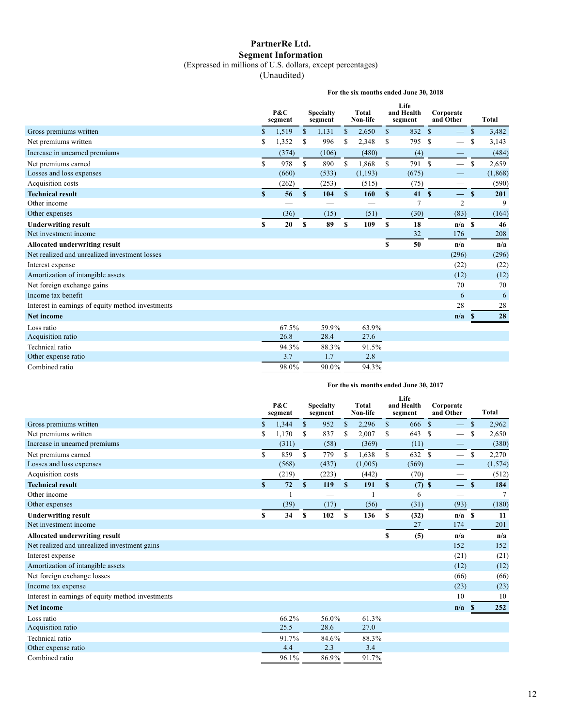#### **PartnerRe Ltd. Segment Information** (Expressed in millions of U.S. dollars, except percentages)

(Unaudited)

**For the six months ended June 30, 2018**

|                                                   |              | P&C<br>segment |               | <b>Specialty</b><br>segment |              | Total<br>Non-life |              | Life<br>and Health<br>segment |              | Corporate<br>and Other   |               | <b>Total</b> |
|---------------------------------------------------|--------------|----------------|---------------|-----------------------------|--------------|-------------------|--------------|-------------------------------|--------------|--------------------------|---------------|--------------|
| Gross premiums written                            | \$           | 1,519          | \$            | 1,131                       | \$           | 2,650             | $\mathbf{s}$ | 832                           | $\mathbf{s}$ | $\overline{\phantom{0}}$ | $\mathbb{S}$  | 3,482        |
| Net premiums written                              | \$           | 1,352          | \$            | 996                         | -S           | 2,348             | \$           | 795                           | -S           | $\overline{\phantom{m}}$ | <sup>\$</sup> | 3,143        |
| Increase in unearned premiums                     |              | (374)          |               | (106)                       |              | (480)             |              | (4)                           |              |                          |               | (484)        |
| Net premiums earned                               | \$           | 978            | $\mathcal{S}$ | 890                         | S            | 1,868             | $\mathbf S$  | 791 \$                        |              |                          | S             | 2,659        |
| Losses and loss expenses                          |              | (660)          |               | (533)                       |              | (1, 193)          |              | (675)                         |              |                          |               | (1, 868)     |
| Acquisition costs                                 |              | (262)          |               | (253)                       |              | (515)             |              | (75)                          |              |                          |               | (590)        |
| <b>Technical result</b>                           | $\mathbf{s}$ | 56             | $\mathbf{s}$  | 104                         | $\mathbf{s}$ | 160               | $\mathbf{s}$ | 41S                           |              | $\qquad \qquad -$        | $\mathbf{s}$  | 201          |
| Other income                                      |              |                |               |                             |              |                   |              | 7                             |              | $\overline{c}$           |               | 9            |
| Other expenses                                    |              | (36)           |               | (15)                        |              | (51)              |              | (30)                          |              | (83)                     |               | (164)        |
| <b>Underwriting result</b>                        | S            | 20             | \$            | 89                          | S            | 109               | $\mathbf{s}$ | 18                            |              | $n/a$ \$                 |               | 46           |
| Net investment income                             |              |                |               |                             |              |                   |              | 32                            |              | 176                      |               | 208          |
| Allocated underwriting result                     |              |                |               |                             |              |                   | \$           | 50                            |              | n/a                      |               | n/a          |
| Net realized and unrealized investment losses     |              |                |               |                             |              |                   |              |                               |              | (296)                    |               | (296)        |
| Interest expense                                  |              |                |               |                             |              |                   |              |                               |              | (22)                     |               | (22)         |
| Amortization of intangible assets                 |              |                |               |                             |              |                   |              |                               |              | (12)                     |               | (12)         |
| Net foreign exchange gains                        |              |                |               |                             |              |                   |              |                               |              | 70                       |               | 70           |
| Income tax benefit                                |              |                |               |                             |              |                   |              |                               |              | 6                        |               | 6            |
| Interest in earnings of equity method investments |              |                |               |                             |              |                   |              |                               |              | 28                       |               | 28           |
| <b>Net income</b>                                 |              |                |               |                             |              |                   |              |                               |              | n/a                      | <b>S</b>      | 28           |
| Loss ratio                                        |              | 67.5%          |               | 59.9%                       |              | 63.9%             |              |                               |              |                          |               |              |
| Acquisition ratio                                 |              | 26.8           |               | 28.4                        |              | 27.6              |              |                               |              |                          |               |              |
| Technical ratio                                   |              | 94.3%          |               | 88.3%                       |              | 91.5%             |              |                               |              |                          |               |              |
| Other expense ratio                               |              | 3.7            |               | 1.7                         |              | 2.8               |              |                               |              |                          |               |              |
| Combined ratio                                    |              | 98.0%          |               | 90.0%                       |              | 94.3%             |              |                               |              |                          |               |              |

#### **For the six months ended June 30, 2017**

|                                                   | $P\&C$<br><b>Specialty</b><br>segment<br>segment |       |               | Total<br>Non-life |              | Life<br>and Health<br>segment |               | Corporate<br>and Other |               | <b>Total</b>      |              |         |
|---------------------------------------------------|--------------------------------------------------|-------|---------------|-------------------|--------------|-------------------------------|---------------|------------------------|---------------|-------------------|--------------|---------|
| Gross premiums written                            | $\mathbf{\$}$                                    | 1.344 | $\mathbf S$   | 952               | \$           | 2,296                         | $\mathbf{s}$  | 666                    | $\mathbf{s}$  | $\qquad \qquad -$ | $\mathbb{S}$ | 2,962   |
| Net premiums written                              | \$                                               | 1,170 | \$            | 837               | \$           | 2,007                         | \$            | 643                    | <sup>\$</sup> | $\qquad \qquad$   | S            | 2,650   |
| Increase in unearned premiums                     |                                                  | (311) |               | (58)              |              | (369)                         |               | (11)                   |               |                   |              | (380)   |
| Net premiums earned                               | $\mathbf S$                                      | 859   | $\mathbf S$   | 779               | S            | 1,638                         | <sup>\$</sup> | 632                    | <sup>\$</sup> |                   | S            | 2,270   |
| Losses and loss expenses                          |                                                  | (568) |               | (437)             |              | (1,005)                       |               | (569)                  |               |                   |              | (1,574) |
| Acquisition costs                                 |                                                  | (219) |               | (223)             |              | (442)                         |               | (70)                   |               |                   |              | (512)   |
| <b>Technical result</b>                           | S                                                | 72    | <sup>\$</sup> | 119               | $\mathbf{s}$ | 191                           | $\mathbf{s}$  | $(7)$ \$               |               | $-$               | $\mathbf{s}$ | 184     |
| Other income                                      |                                                  |       |               |                   |              |                               |               | 6                      |               |                   |              |         |
| Other expenses                                    |                                                  | (39)  |               | (17)              |              | (56)                          |               | (31)                   |               | (93)              |              | (180)   |
| <b>Underwriting result</b>                        | S                                                | 34    | \$            | 102               | \$           | 136                           | S             | (32)                   |               | $n/a$ \$          |              | 11      |
| Net investment income                             |                                                  |       |               |                   |              |                               |               | 27                     |               | 174               |              | 201     |
| <b>Allocated underwriting result</b>              |                                                  |       |               |                   |              |                               | S             | (5)                    |               | n/a               |              | n/a     |
| Net realized and unrealized investment gains      |                                                  |       |               |                   |              |                               |               |                        |               | 152               |              | 152     |
| Interest expense                                  |                                                  |       |               |                   |              |                               |               |                        |               | (21)              |              | (21)    |
| Amortization of intangible assets                 |                                                  |       |               |                   |              |                               |               |                        |               | (12)              |              | (12)    |
| Net foreign exchange losses                       |                                                  |       |               |                   |              |                               |               |                        |               | (66)              |              | (66)    |
| Income tax expense                                |                                                  |       |               |                   |              |                               |               |                        |               | (23)              |              | (23)    |
| Interest in earnings of equity method investments |                                                  |       |               |                   |              |                               |               |                        |               | 10                |              | 10      |
| <b>Net income</b>                                 |                                                  |       |               |                   |              |                               |               |                        |               | n/a               | <sup>S</sup> | 252     |
| Loss ratio                                        |                                                  | 66.2% |               | 56.0%             |              | 61.3%                         |               |                        |               |                   |              |         |
| Acquisition ratio                                 |                                                  | 25.5  |               | 28.6              |              | 27.0                          |               |                        |               |                   |              |         |
| Technical ratio                                   |                                                  | 91.7% |               | 84.6%             |              | 88.3%                         |               |                        |               |                   |              |         |
| Other expense ratio                               |                                                  | 4.4   |               | 2.3               |              | 3.4                           |               |                        |               |                   |              |         |
| Combined ratio                                    |                                                  | 96.1% |               | 86.9%             |              | 91.7%                         |               |                        |               |                   |              |         |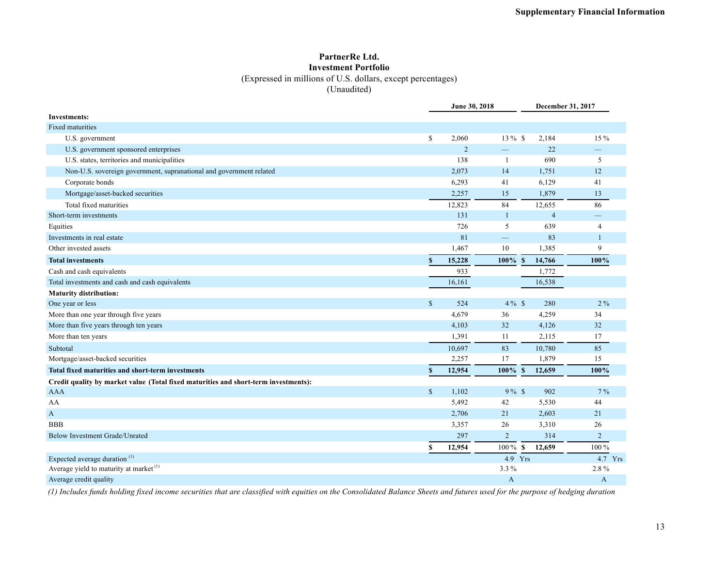#### **PartnerRe Ltd. Investment Portfolio**

(Expressed in millions of U.S. dollars, except percentages)

(Unaudited)

|                                                                                     |               | June 30, 2018  |                          |                        | December 31, 2017 |
|-------------------------------------------------------------------------------------|---------------|----------------|--------------------------|------------------------|-------------------|
| <b>Investments:</b>                                                                 |               |                |                          |                        |                   |
| <b>Fixed maturities</b>                                                             |               |                |                          |                        |                   |
| U.S. government                                                                     | $\mathbb{S}$  | 2,060          | 13 % \$                  | 2,184                  | 15 %              |
| U.S. government sponsored enterprises                                               |               | $\overline{2}$ | $\overline{\phantom{0}}$ | 22                     |                   |
| U.S. states, territories and municipalities                                         |               | 138            | 1                        | 690                    | 5                 |
| Non-U.S. sovereign government, supranational and government related                 |               | 2,073          | 14                       | 1,751                  | 12                |
| Corporate bonds                                                                     |               | 6,293          | 41                       | 6,129                  | 41                |
| Mortgage/asset-backed securities                                                    |               | 2,257          | 15                       | 1,879                  | 13                |
| Total fixed maturities                                                              |               | 12,823         | 84                       | 12,655                 | 86                |
| Short-term investments                                                              |               | 131            | $\mathbf{1}$             | $\overline{4}$         |                   |
| Equities                                                                            |               | 726            | 5                        | 639                    | $\overline{4}$    |
| Investments in real estate                                                          |               | 81             | $\qquad \qquad -$        | 83                     | $\mathbf{1}$      |
| Other invested assets                                                               |               | 1,467          | 10                       | 1,385                  | 9                 |
| <b>Total investments</b>                                                            | $\mathbf{s}$  | 15,228         | $100\%$ \$               | 14,766                 | 100%              |
| Cash and cash equivalents                                                           |               | 933            |                          | 1,772                  |                   |
| Total investments and cash and cash equivalents                                     |               | 16,161         |                          | 16,538                 |                   |
| <b>Maturity distribution:</b>                                                       |               |                |                          |                        |                   |
| One year or less                                                                    | $\mathbb{S}$  | 524            | $4\%$ \$                 | 280                    | $2\%$             |
| More than one year through five years                                               |               | 4,679          | 36                       | 4,259                  | 34                |
| More than five years through ten years                                              |               | 4,103          | 32                       | 4,126                  | 32                |
| More than ten years                                                                 |               | 1,391          | 11                       | 2,115                  | 17                |
| Subtotal                                                                            |               | 10,697         | 83                       | 10,780                 | 85                |
| Mortgage/asset-backed securities                                                    |               | 2,257          | 17                       | 1,879                  | 15                |
| Total fixed maturities and short-term investments                                   | $\mathbf{s}$  | 12,954         | $100\%$                  | S<br>12,659            | 100%              |
| Credit quality by market value (Total fixed maturities and short-term investments): |               |                |                          |                        |                   |
| <b>AAA</b>                                                                          | $\mathsf{\$}$ | 1,102          | $9\%$ \$                 | 902                    | $7\%$             |
| AA                                                                                  |               | 5,492          | 42                       | 5,530                  | 44                |
| A                                                                                   |               | 2,706          | 21                       | 2,603                  | 21                |
| <b>BBB</b>                                                                          |               | 3,357          | 26                       | 3,310                  | 26                |
| Below Investment Grade/Unrated                                                      |               | 297            | $\overline{2}$           | 314                    | 2                 |
|                                                                                     | S             | 12,954         | $100\,\%$                | $\mathbf{s}$<br>12,659 | 100 %             |
| Expected average duration <sup>(1)</sup>                                            |               |                | 4.9 Yrs                  |                        | 4.7 Yrs           |
| Average yield to maturity at market <sup>(1)</sup>                                  |               |                | 3.3%                     |                        | 2.8%              |
| Average credit quality                                                              |               |                | A                        |                        | A                 |

*(1) Includes funds holding fixed income securities that are classified with equities on the Consolidated Balance Sheets and futures used for the purpose of hedging duration*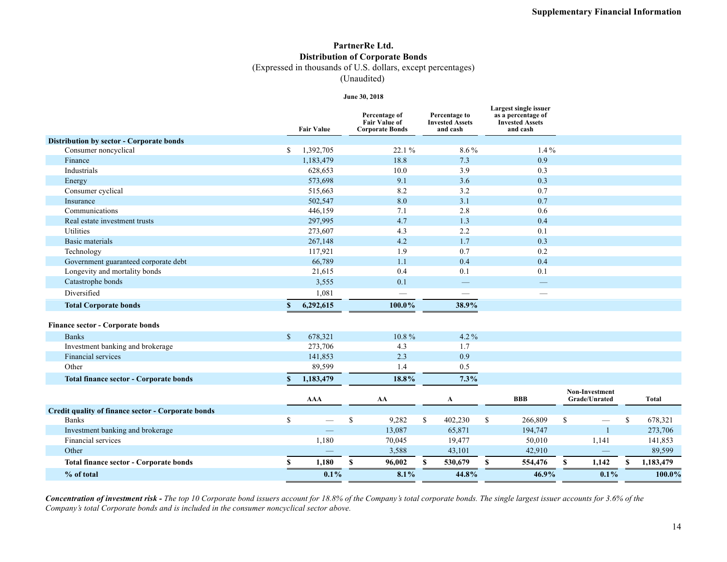## **PartnerRe Ltd. Distribution of Corporate Bonds**

(Expressed in thousands of U.S. dollars, except percentages)

(Unaudited)

#### **June 30, 2018**

|                                                    |               | <b>Fair Value</b> | Percentage of<br><b>Fair Value of</b><br><b>Corporate Bonds</b> |    | Percentage to<br><b>Invested Assets</b><br>and cash |    | Largest single issuer<br>as a percentage of<br><b>Invested Assets</b><br>and cash |    |                                        |    |              |
|----------------------------------------------------|---------------|-------------------|-----------------------------------------------------------------|----|-----------------------------------------------------|----|-----------------------------------------------------------------------------------|----|----------------------------------------|----|--------------|
| Distribution by sector - Corporate bonds           |               |                   |                                                                 |    |                                                     |    |                                                                                   |    |                                        |    |              |
| Consumer noncyclical                               | \$            | 1,392,705         | 22.1 %                                                          |    | 8.6%                                                |    | $1.4\%$                                                                           |    |                                        |    |              |
| Finance                                            |               | 1,183,479         | 18.8                                                            |    | 7.3                                                 |    | 0.9                                                                               |    |                                        |    |              |
| Industrials                                        |               | 628,653           | 10.0                                                            |    | 3.9                                                 |    | 0.3                                                                               |    |                                        |    |              |
| Energy                                             |               | 573,698           | 9.1                                                             |    | 3.6                                                 |    | 0.3                                                                               |    |                                        |    |              |
| Consumer cyclical                                  |               | 515,663           | 8.2                                                             |    | 3.2                                                 |    | 0.7                                                                               |    |                                        |    |              |
| Insurance                                          |               | 502,547           | 8.0                                                             |    | 3.1                                                 |    | 0.7                                                                               |    |                                        |    |              |
| Communications                                     |               | 446,159           | 7.1                                                             |    | 2.8                                                 |    | 0.6                                                                               |    |                                        |    |              |
| Real estate investment trusts                      |               | 297,995           | 4.7                                                             |    | 1.3                                                 |    | 0.4                                                                               |    |                                        |    |              |
| Utilities                                          |               | 273,607           | 4.3                                                             |    | 2.2                                                 |    | 0.1                                                                               |    |                                        |    |              |
| Basic materials                                    |               | 267,148           | 4.2                                                             |    | 1.7                                                 |    | 0.3                                                                               |    |                                        |    |              |
| Technology                                         |               | 117,921           | 1.9                                                             |    | 0.7                                                 |    | 0.2                                                                               |    |                                        |    |              |
| Government guaranteed corporate debt               |               | 66,789            | 1.1                                                             |    | 0.4                                                 |    | 0.4                                                                               |    |                                        |    |              |
| Longevity and mortality bonds                      |               | 21,615            | 0.4                                                             |    | 0.1                                                 |    | 0.1                                                                               |    |                                        |    |              |
| Catastrophe bonds                                  |               | 3,555             | 0.1                                                             |    | $\hspace{0.05cm}$                                   |    | $\overline{\phantom{0}}$                                                          |    |                                        |    |              |
| Diversified                                        |               | 1,081             | $\overline{\phantom{a}}$                                        |    | $\qquad \qquad$                                     |    | $\overline{\phantom{0}}$                                                          |    |                                        |    |              |
| <b>Total Corporate bonds</b>                       | $\mathbf{s}$  | 6,292,615         | 100.0%                                                          |    | 38.9%                                               |    |                                                                                   |    |                                        |    |              |
| <b>Finance sector - Corporate bonds</b>            |               |                   |                                                                 |    |                                                     |    |                                                                                   |    |                                        |    |              |
| <b>Banks</b>                                       | $\mathcal{S}$ | 678,321           | 10.8%                                                           |    | $4.2\%$                                             |    |                                                                                   |    |                                        |    |              |
| Investment banking and brokerage                   |               | 273,706           | 4.3                                                             |    | 1.7                                                 |    |                                                                                   |    |                                        |    |              |
| <b>Financial services</b>                          |               | 141,853           | 2.3                                                             |    | 0.9                                                 |    |                                                                                   |    |                                        |    |              |
| Other                                              |               | 89,599            | 1.4                                                             |    | 0.5                                                 |    |                                                                                   |    |                                        |    |              |
| <b>Total finance sector - Corporate bonds</b>      | $\mathbf{s}$  | 1,183,479         | 18.8%                                                           |    | 7.3%                                                |    |                                                                                   |    |                                        |    |              |
|                                                    |               | <b>AAA</b>        | AA                                                              |    | A                                                   |    | <b>BBB</b>                                                                        |    | <b>Non-Investment</b><br>Grade/Unrated |    | <b>Total</b> |
| Credit quality of finance sector - Corporate bonds |               |                   |                                                                 |    |                                                     |    |                                                                                   |    |                                        |    |              |
| <b>Banks</b>                                       | \$            |                   | \$<br>9,282                                                     | \$ | 402,230                                             | \$ | 266,809                                                                           | \$ |                                        | \$ | 678,321      |
| Investment banking and brokerage                   |               |                   | 13,087                                                          |    | 65,871                                              |    | 194,747                                                                           |    | $\overline{1}$                         |    | 273,706      |
| Financial services                                 |               | 1,180             | 70,045                                                          |    | 19,477                                              |    | 50,010                                                                            |    | 1,141                                  |    | 141,853      |
| Other                                              |               |                   | 3,588                                                           |    | 43,101                                              |    | 42,910                                                                            |    |                                        |    | 89,599       |
| <b>Total finance sector - Corporate bonds</b>      | \$            | 1,180             | \$<br>96,002                                                    | S  | 530,679                                             | S. | 554,476                                                                           | S  | 1,142                                  | S  | 1,183,479    |
| % of total                                         |               | $0.1\%$           | 8.1%                                                            |    | 44.8%                                               |    | 46.9%                                                                             |    | $0.1\%$                                |    | 100.0%       |

*Concentration of investment risk - The top 10 Corporate bond issuers account for 18.8% of the Company's total corporate bonds. The single largest issuer accounts for 3.6% of the Company's total Corporate bonds and is included in the consumer noncyclical sector above.*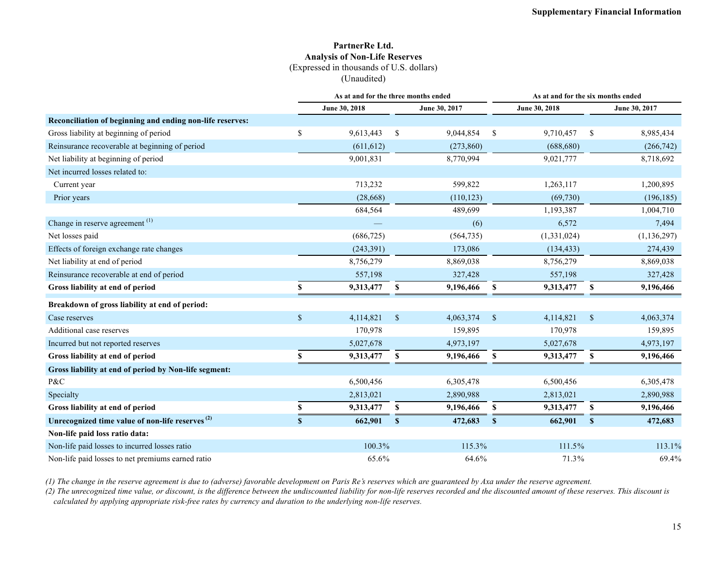#### **PartnerRe Ltd. Analysis of Non-Life Reserves** (Expressed in thousands of U.S. dollars)

(Unaudited)

|                                                             |              | As at and for the three months ended |                           |               |               | As at and for the six months ended |                           |               |  |  |
|-------------------------------------------------------------|--------------|--------------------------------------|---------------------------|---------------|---------------|------------------------------------|---------------------------|---------------|--|--|
|                                                             |              | June 30, 2018                        |                           | June 30, 2017 |               | June 30, 2018                      |                           | June 30, 2017 |  |  |
| Reconciliation of beginning and ending non-life reserves:   |              |                                      |                           |               |               |                                    |                           |               |  |  |
| Gross liability at beginning of period                      | \$           | 9,613,443                            | \$                        | 9,044,854     | <sup>\$</sup> | 9,710,457                          | \$                        | 8,985,434     |  |  |
| Reinsurance recoverable at beginning of period              |              | (611, 612)                           |                           | (273, 860)    |               | (688, 680)                         |                           | (266, 742)    |  |  |
| Net liability at beginning of period                        |              | 9,001,831                            |                           | 8,770,994     |               | 9,021,777                          |                           | 8,718,692     |  |  |
| Net incurred losses related to:                             |              |                                      |                           |               |               |                                    |                           |               |  |  |
| Current year                                                |              | 713,232                              |                           | 599,822       |               | 1,263,117                          |                           | 1,200,895     |  |  |
| Prior years                                                 |              | (28, 668)                            |                           | (110, 123)    |               | (69, 730)                          |                           | (196, 185)    |  |  |
|                                                             |              | 684,564                              |                           | 489,699       |               | 1,193,387                          |                           | 1,004,710     |  |  |
| Change in reserve agreement <sup>(1)</sup>                  |              |                                      |                           | (6)           |               | 6,572                              |                           | 7,494         |  |  |
| Net losses paid                                             |              | (686, 725)                           |                           | (564, 735)    |               | (1,331,024)                        |                           | (1, 136, 297) |  |  |
| Effects of foreign exchange rate changes                    |              | (243,391)                            |                           | 173,086       |               | (134, 433)                         |                           | 274,439       |  |  |
| Net liability at end of period                              |              | 8,756,279                            |                           | 8,869,038     |               | 8,756,279                          |                           | 8,869,038     |  |  |
| Reinsurance recoverable at end of period                    |              | 557,198                              |                           | 327,428       |               | 557,198                            |                           | 327,428       |  |  |
| Gross liability at end of period                            | \$           | 9,313,477                            | S                         | 9,196,466     | <sup>\$</sup> | 9,313,477                          | \$                        | 9,196,466     |  |  |
| Breakdown of gross liability at end of period:              |              |                                      |                           |               |               |                                    |                           |               |  |  |
| Case reserves                                               | $\mathbb{S}$ | 4,114,821                            | $\boldsymbol{\mathsf{S}}$ | 4,063,374     | $\mathbb{S}$  | 4,114,821                          | $\boldsymbol{\mathsf{S}}$ | 4,063,374     |  |  |
| Additional case reserves                                    |              | 170,978                              |                           | 159,895       |               | 170,978                            |                           | 159,895       |  |  |
| Incurred but not reported reserves                          |              | 5,027,678                            |                           | 4,973,197     |               | 5,027,678                          |                           | 4,973,197     |  |  |
| Gross liability at end of period                            | S            | 9,313,477                            | S                         | 9,196,466     | S             | 9,313,477                          | S                         | 9,196,466     |  |  |
| Gross liability at end of period by Non-life segment:       |              |                                      |                           |               |               |                                    |                           |               |  |  |
| P&C                                                         |              | 6,500,456                            |                           | 6,305,478     |               | 6,500,456                          |                           | 6,305,478     |  |  |
| Specialty                                                   |              | 2,813,021                            |                           | 2,890,988     |               | 2,813,021                          |                           | 2,890,988     |  |  |
| Gross liability at end of period                            | \$           | 9,313,477                            | S                         | 9,196,466     | <sup>\$</sup> | 9,313,477                          | S                         | 9,196,466     |  |  |
| Unrecognized time value of non-life reserves <sup>(2)</sup> | $\mathbf{s}$ | 662,901                              | $\mathbf{s}$              | 472,683       | $\mathbf{s}$  | 662,901                            | $\mathbf{s}$              | 472,683       |  |  |
| Non-life paid loss ratio data:                              |              |                                      |                           |               |               |                                    |                           |               |  |  |
| Non-life paid losses to incurred losses ratio               |              | 100.3%                               |                           | 115.3%        |               | 111.5%                             |                           | 113.1%        |  |  |
| Non-life paid losses to net premiums earned ratio           |              | 65.6%                                |                           | 64.6%         |               | 71.3%                              |                           | 69.4%         |  |  |

*(1) The change in the reserve agreement is due to (adverse) favorable development on Paris Re's reserves which are guaranteed by Axa under the reserve agreement.*

(2) The unrecognized time value, or discount, is the difference between the undiscounted liability for non-life reserves recorded and the discounted amount of these reserves. This discount is *calculated by applying appropriate risk-free rates by currency and duration to the underlying non-life reserves.*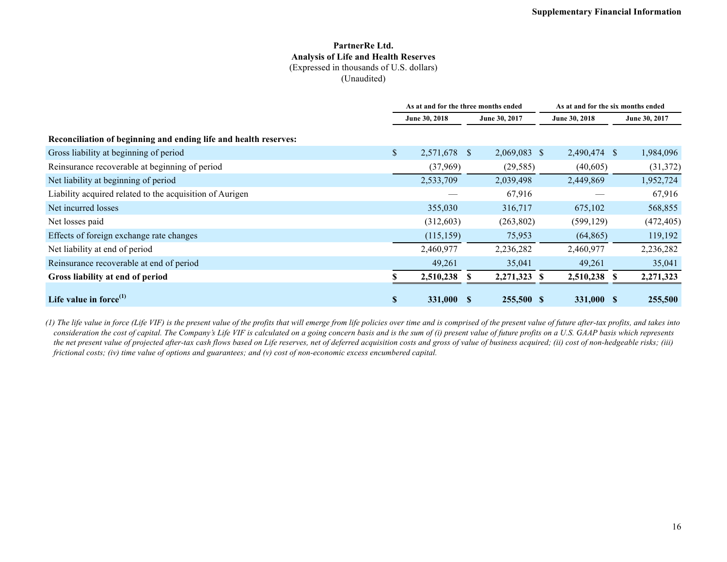#### **PartnerRe Ltd. Analysis of Life and Health Reserves** (Expressed in thousands of U.S. dollars)

(Unaudited)

|                                                                  | As at and for the three months ended |               |              |    | As at and for the six months ended |   |               |
|------------------------------------------------------------------|--------------------------------------|---------------|--------------|----|------------------------------------|---|---------------|
|                                                                  | June 30, 2018                        | June 30, 2017 |              |    | June 30, 2018                      |   | June 30, 2017 |
| Reconciliation of beginning and ending life and health reserves: |                                      |               |              |    |                                    |   |               |
| Gross liability at beginning of period                           | \$<br>2,571,678 \$                   |               | 2,069,083 \$ |    | 2,490,474 \$                       |   | 1,984,096     |
| Reinsurance recoverable at beginning of period                   | (37,969)                             |               | (29, 585)    |    | (40,605)                           |   | (31,372)      |
| Net liability at beginning of period                             | 2,533,709                            |               | 2,039,498    |    | 2,449,869                          |   | 1,952,724     |
| Liability acquired related to the acquisition of Aurigen         |                                      |               | 67,916       |    |                                    |   | 67,916        |
| Net incurred losses                                              | 355,030                              |               | 316,717      |    | 675,102                            |   | 568,855       |
| Net losses paid                                                  | (312,603)                            |               | (263, 802)   |    | (599, 129)                         |   | (472, 405)    |
| Effects of foreign exchange rate changes                         | (115, 159)                           |               | 75,953       |    | (64, 865)                          |   | 119,192       |
| Net liability at end of period                                   | 2,460,977                            |               | 2,236,282    |    | 2,460,977                          |   | 2,236,282     |
| Reinsurance recoverable at end of period                         | 49,261                               |               | 35,041       |    | 49,261                             |   | 35,041        |
| Gross liability at end of period                                 | 2,510,238                            |               | 2,271,323    | -S | 2,510,238                          | S | 2,271,323     |
| Life value in force $^{(1)}$                                     | \$<br>331,000 \$                     |               | 255,500 \$   |    | 331,000 \$                         |   | 255,500       |

*(1) The life value in force (Life VIF) is the present value of the profits that will emerge from life policies over time and is comprised of the present value of future after-tax profits, and takes into consideration the cost of capital. The Company's Life VIF is calculated on a going concern basis and is the sum of (i) present value of future profits on a U.S. GAAP basis which represents the net present value of projected after-tax cash flows based on Life reserves, net of deferred acquisition costs and gross of value of business acquired; (ii) cost of non-hedgeable risks; (iii) frictional costs; (iv) time value of options and guarantees; and (v) cost of non-economic excess encumbered capital.*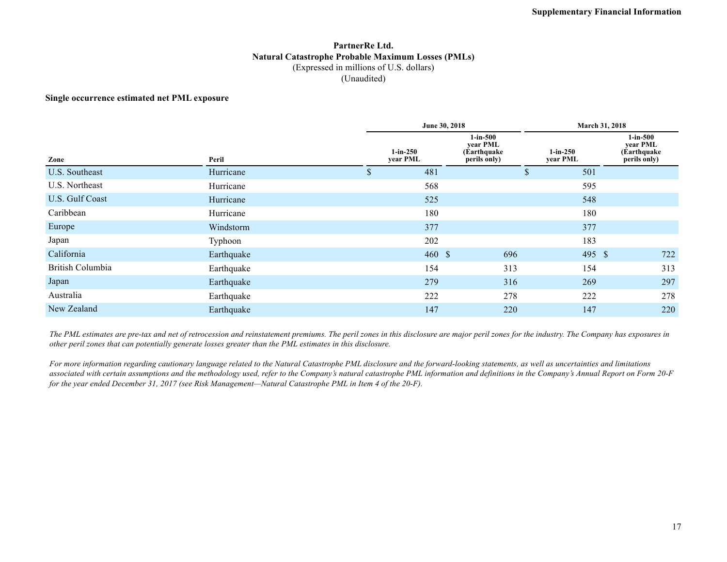#### **PartnerRe Ltd. Natural Catastrophe Probable Maximum Losses (PMLs)** (Expressed in millions of U.S. dollars) (Unaudited)

#### **Single occurrence estimated net PML exposure**

|                  |            | June 30, 2018          |     |                        | March 31, 2018                                         |  |  |
|------------------|------------|------------------------|-----|------------------------|--------------------------------------------------------|--|--|
| Zone             | Peril      | $1-in-250$<br>year PML |     | $1-in-250$<br>year PML | $1-in-500$<br>year PML<br>(Earthquake)<br>perils only) |  |  |
| U.S. Southeast   | Hurricane  | \$<br>481              | \$  | 501                    |                                                        |  |  |
| U.S. Northeast   | Hurricane  | 568                    |     | 595                    |                                                        |  |  |
| U.S. Gulf Coast  | Hurricane  | 525                    |     | 548                    |                                                        |  |  |
| Caribbean        | Hurricane  | 180                    |     | 180                    |                                                        |  |  |
| Europe           | Windstorm  | 377                    |     | 377                    |                                                        |  |  |
| Japan            | Typhoon    | 202                    |     | 183                    |                                                        |  |  |
| California       | Earthquake | 460S                   | 696 | 495 \$                 | 722                                                    |  |  |
| British Columbia | Earthquake | 154                    | 313 | 154                    | 313                                                    |  |  |
| Japan            | Earthquake | 279                    | 316 | 269                    | 297                                                    |  |  |
| Australia        | Earthquake | 222                    | 278 | 222                    | 278                                                    |  |  |
| New Zealand      | Earthquake | 147                    | 220 | 147                    | 220                                                    |  |  |

*The PML estimates are pre-tax and net of retrocession and reinstatement premiums. The peril zones in this disclosure are major peril zones for the industry. The Company has exposures in other peril zones that can potentially generate losses greater than the PML estimates in this disclosure.*

*For more information regarding cautionary language related to the Natural Catastrophe PML disclosure and the forward-looking statements, as well as uncertainties and limitations associated with certain assumptions and the methodology used, refer to the Company's natural catastrophe PML information and definitions in the Company's Annual Report on Form 20-F for the year ended December 31, 2017 (see Risk Management—Natural Catastrophe PML in Item 4 of the 20-F).*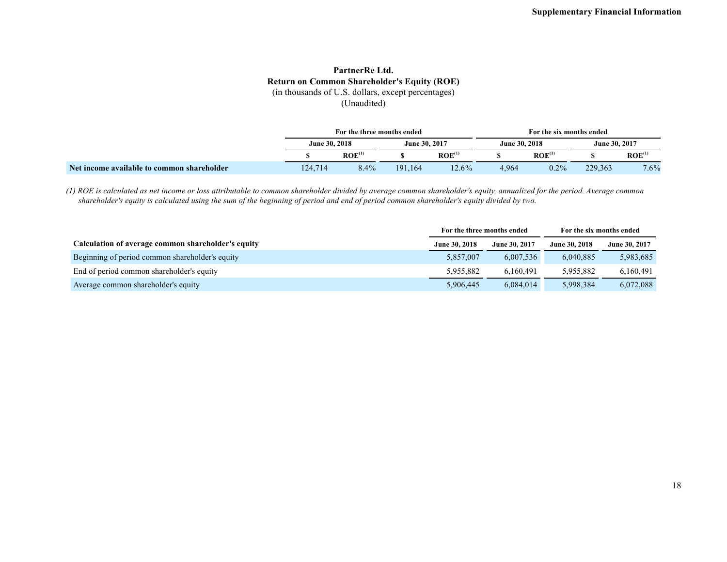#### **PartnerRe Ltd. Return on Common Shareholder's Equity (ROE)** (in thousands of U.S. dollars, except percentages)

(Unaudited)

|                                            |         | For the three months ended |         |                    | For the six months ended |                    |         |                    |  |
|--------------------------------------------|---------|----------------------------|---------|--------------------|--------------------------|--------------------|---------|--------------------|--|
|                                            |         | June 30, 2018              |         | June 30, 2017      |                          | June 30, 2018      |         | June 30, 2017      |  |
|                                            |         | ROE <sup>(1)</sup>         |         | ROE <sup>(1)</sup> |                          | ROE <sup>(1)</sup> |         | ROE <sup>(1)</sup> |  |
| Net income available to common shareholder | 124,714 | 8.4%                       | 191.164 | $12.6\%$           | 4,964                    | $0.2\%$            | 229,363 | 7.6%               |  |

*(1) ROE is calculated as net income or loss attributable to common shareholder divided by average common shareholder's equity, annualized for the period. Average common shareholder's equity is calculated using the sum of the beginning of period and end of period common shareholder's equity divided by two.*

|                                                    | For the three months ended |               | For the six months ended |               |
|----------------------------------------------------|----------------------------|---------------|--------------------------|---------------|
| Calculation of average common shareholder's equity | June 30, 2018              | June 30, 2017 | <b>June 30, 2018</b>     | June 30, 2017 |
| Beginning of period common shareholder's equity    | 5,857,007                  | 6,007,536     | 6.040.885                | 5,983,685     |
| End of period common shareholder's equity          | 5,955,882                  | 6.160.491     | 5.955.882                | 6,160,491     |
| Average common shareholder's equity                | 5,906,445                  | 6,084,014     | 5,998,384                | 6,072,088     |